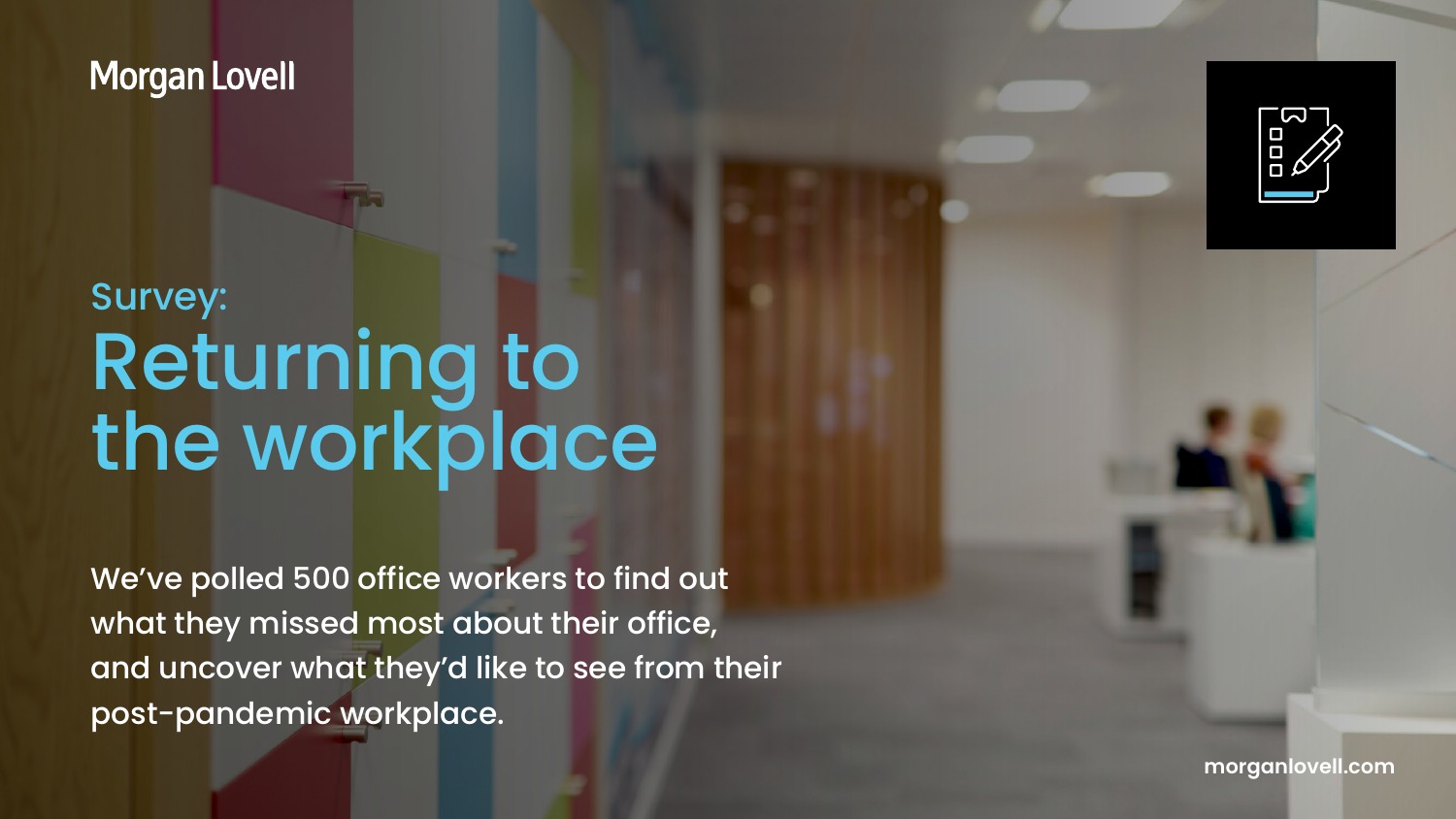**[morganlovell.com](https://www.morganlovell.co.uk)**



## Morgan Lovell

# Survey: Returning to the workplace

We've polled 500 office workers to find out what they missed most about their office, and uncover what they'd like to see from their post-pandemic workplace.

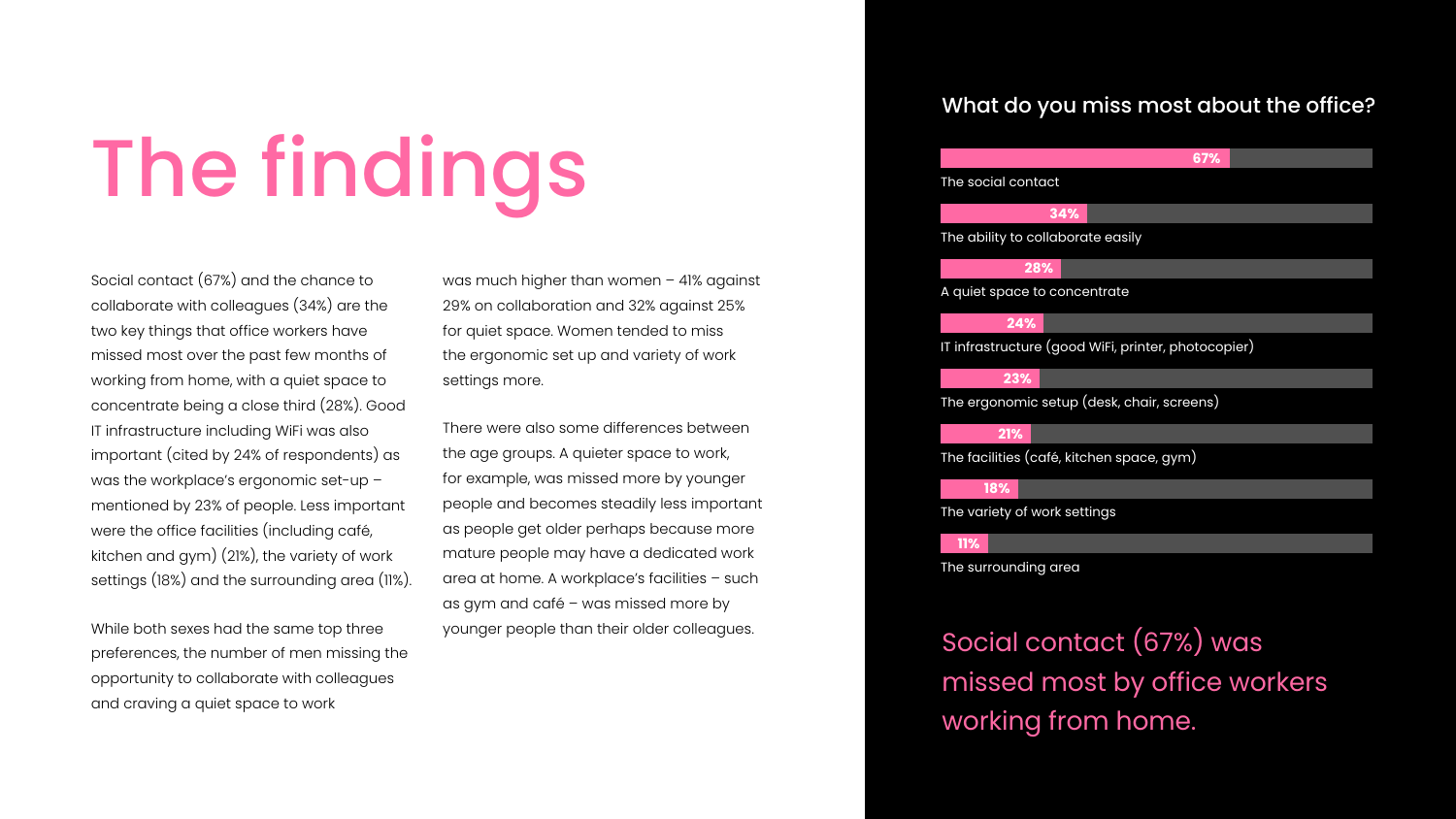Social contact (67%) and the chance to collaborate with colleagues (34%) are the two key things that office workers have missed most over the past few months of working from home, with a quiet space to concentrate being a close third (28%). Good IT infrastructure including WiFi was also important (cited by 24% of respondents) as was the workplace's ergonomic set-up – mentioned by 23% of people. Less important were the office facilities (including café, kitchen and gym) (21%), the variety of work settings (18%) and the surrounding area (11%).

While both sexes had the same top three preferences, the number of men missing the opportunity to collaborate with colleagues and craving a quiet space to work

was much higher than women – 41% against 29% on collaboration and 32% against 25% for quiet space. Women tended to miss the ergonomic set up and variety of work settings more.

There were also some differences between the age groups. A quieter space to work, for example, was missed more by younger people and becomes steadily less important as people get older perhaps because more mature people may have a dedicated work area at home. A workplace's facilities – such as gym and café – was missed more by younger people than their older colleagues.

### What do you miss most about the office?

# The findings

Social contact (67%) was missed most by office workers working from home.

| 67%                                                 |
|-----------------------------------------------------|
| The social contact                                  |
| 34%                                                 |
| The ability to collaborate easily                   |
| 28%                                                 |
| A quiet space to concentrate                        |
| 24%                                                 |
| IT infrastructure (good WiFi, printer, photocopier) |
| 23%                                                 |
| The ergonomic setup (desk, chair, screens)          |
| <b>21%</b>                                          |
| The facilities (café, kitchen space, gym)           |
| <b>18%</b>                                          |
| The variety of work settings                        |
| <b>11%</b>                                          |
| The surrounding area                                |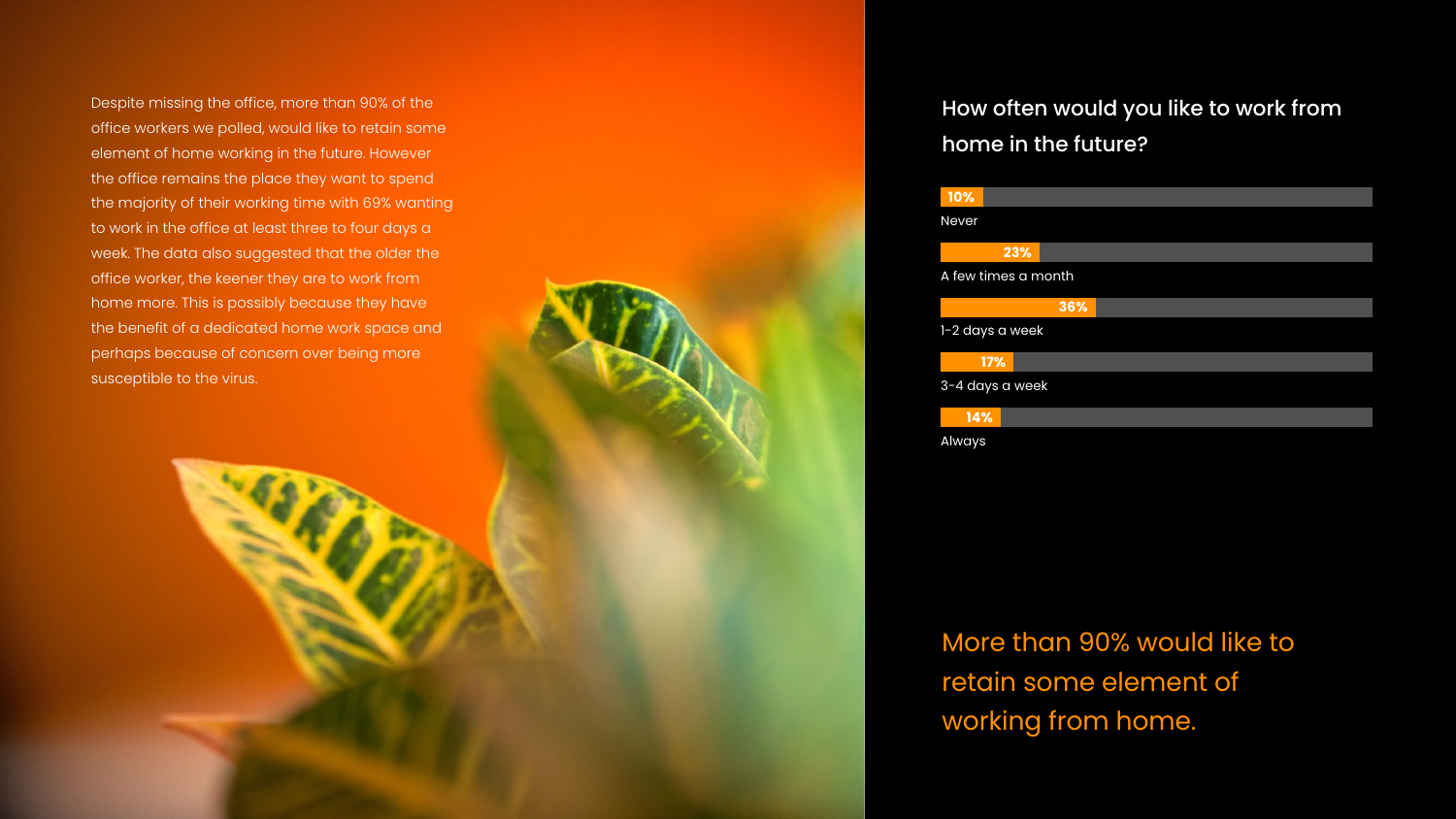Despite missing the office, more than 90% of the office workers we polled, would like to retain some element of home working in the future. However the office remains the place they want to spend the majority of their working time with 69% wanting to work in the office at least three to four days a week. The data also suggested that the older the office worker, the keener they are to work from home more. This is possibly because they have the benefit of a dedicated home work space and perhaps because of concern over being more susceptible to the virus.

How often would you like to work from home in the future?

More than 90% would like to retain some element of working from home.

| 10%                 |     |  |  |  |
|---------------------|-----|--|--|--|
| <b>Never</b>        |     |  |  |  |
| 23%                 |     |  |  |  |
| A few times a month |     |  |  |  |
|                     | 36% |  |  |  |
| 1-2 days a week     |     |  |  |  |
| 17%                 |     |  |  |  |
| 3-4 days a week     |     |  |  |  |
| 14%                 |     |  |  |  |
| Always              |     |  |  |  |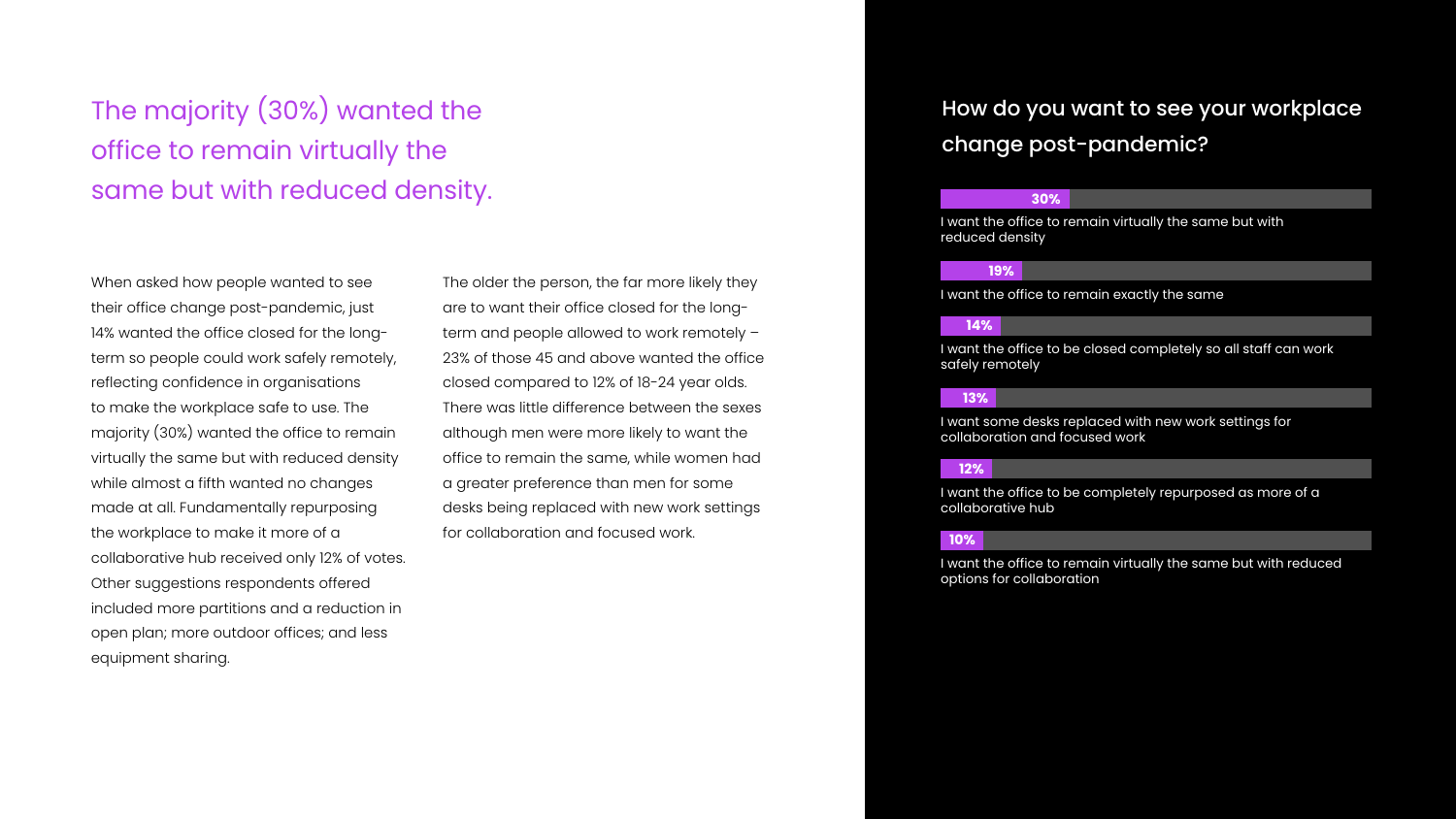When asked how people wanted to see their office change post-pandemic, just 14% wanted the office closed for the longterm so people could work safely remotely, reflecting confidence in organisations to make the workplace safe to use. The majority (30%) wanted the office to remain virtually the same but with reduced density while almost a fifth wanted no changes made at all. Fundamentally repurposing the workplace to make it more of a collaborative hub received only 12% of votes. Other suggestions respondents offered included more partitions and a reduction in open plan; more outdoor offices; and less equipment sharing.

The older the person, the far more likely they are to want their office closed for the longterm and people allowed to work remotely – 23% of those 45 and above wanted the office closed compared to 12% of 18-24 year olds. There was little difference between the sexes although men were more likely to want the office to remain the same, while women had a greater preference than men for some desks being replaced with new work settings for collaboration and focused work.

- 
- 
- 
- 
- 
- 
- 
- 
- 
- 

### How do you want to see your workplace change post-pandemic?

## The majority (30%) wanted the office to remain virtually the same but with reduced density.

I want the office to remain virtually the same but with reduced density

I want the office to remain exactly the same

I want the office to be closed completely so all staff can work safely remotely

I want some desks replaced with new work settings for collaboration and focused work

I want the office to be completely repurposed as more of a collaborative hub

#### **30%**

#### **19%**

#### **14%**

#### **13%**

#### **12%**

I want the office to remain virtually the same but with reduced options for collaboration



#### **10%**